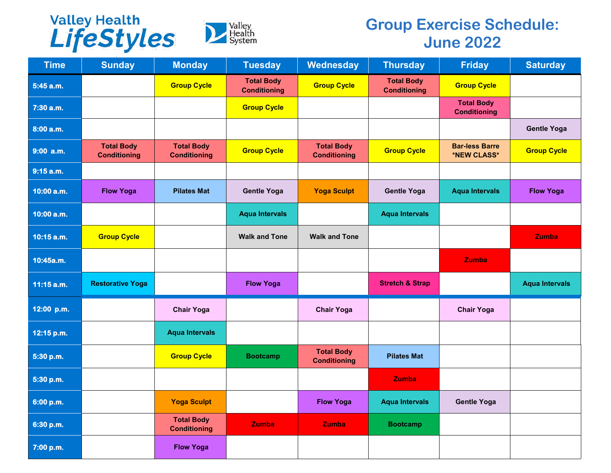



## **Group Exercise Schedule: June 2022**

| <b>Time</b>  | <b>Sunday</b>                            | <b>Monday</b>                            | <b>Tuesday</b>                           | Wednesday                                | <b>Thursday</b>                          | <b>Friday</b>                            | <b>Saturday</b>       |
|--------------|------------------------------------------|------------------------------------------|------------------------------------------|------------------------------------------|------------------------------------------|------------------------------------------|-----------------------|
| 5:45 a.m.    |                                          | <b>Group Cycle</b>                       | <b>Total Body</b><br><b>Conditioning</b> | <b>Group Cycle</b>                       | <b>Total Body</b><br><b>Conditioning</b> | <b>Group Cycle</b>                       |                       |
| 7:30 a.m.    |                                          |                                          | <b>Group Cycle</b>                       |                                          |                                          | <b>Total Body</b><br><b>Conditioning</b> |                       |
| 8:00a.m.     |                                          |                                          |                                          |                                          |                                          |                                          | <b>Gentle Yoga</b>    |
| $9:00$ a.m.  | <b>Total Body</b><br><b>Conditioning</b> | <b>Total Body</b><br><b>Conditioning</b> | <b>Group Cycle</b>                       | <b>Total Body</b><br><b>Conditioning</b> | <b>Group Cycle</b>                       | <b>Bar-less Barre</b><br>*NEW CLASS*     | <b>Group Cycle</b>    |
| 9:15 a.m.    |                                          |                                          |                                          |                                          |                                          |                                          |                       |
| 10:00 a.m.   | <b>Flow Yoga</b>                         | <b>Pilates Mat</b>                       | <b>Gentle Yoga</b>                       | <b>Yoga Sculpt</b>                       | <b>Gentle Yoga</b>                       | <b>Aqua Intervals</b>                    | <b>Flow Yoga</b>      |
| 10:00 a.m.   |                                          |                                          | <b>Aqua Intervals</b>                    |                                          | <b>Aqua Intervals</b>                    |                                          |                       |
| $10:15$ a.m. | <b>Group Cycle</b>                       |                                          | <b>Walk and Tone</b>                     | <b>Walk and Tone</b>                     |                                          |                                          | <b>Zumba</b>          |
| 10:45a.m.    |                                          |                                          |                                          |                                          |                                          | <b>Zumba</b>                             |                       |
| $11:15$ a.m. | <b>Restorative Yoga</b>                  |                                          | <b>Flow Yoga</b>                         |                                          | <b>Stretch &amp; Strap</b>               |                                          | <b>Aqua Intervals</b> |
| 12:00 p.m.   |                                          | <b>Chair Yoga</b>                        |                                          | <b>Chair Yoga</b>                        |                                          | <b>Chair Yoga</b>                        |                       |
| 12:15 p.m.   |                                          | <b>Aqua Intervals</b>                    |                                          |                                          |                                          |                                          |                       |
| 5:30 p.m.    |                                          | <b>Group Cycle</b>                       | <b>Bootcamp</b>                          | <b>Total Body</b><br><b>Conditioning</b> | <b>Pilates Mat</b>                       |                                          |                       |
| 5:30 p.m.    |                                          |                                          |                                          |                                          | <b>Zumba</b>                             |                                          |                       |
| 6:00 p.m.    |                                          | <b>Yoga Sculpt</b>                       |                                          | <b>Flow Yoga</b>                         | <b>Aqua Intervals</b>                    | <b>Gentle Yoga</b>                       |                       |
| 6:30 p.m.    |                                          | <b>Total Body</b><br><b>Conditioning</b> | <b>Zumba</b>                             | Zumba                                    | <b>Bootcamp</b>                          |                                          |                       |
| 7:00 p.m.    |                                          | <b>Flow Yoga</b>                         |                                          |                                          |                                          |                                          |                       |